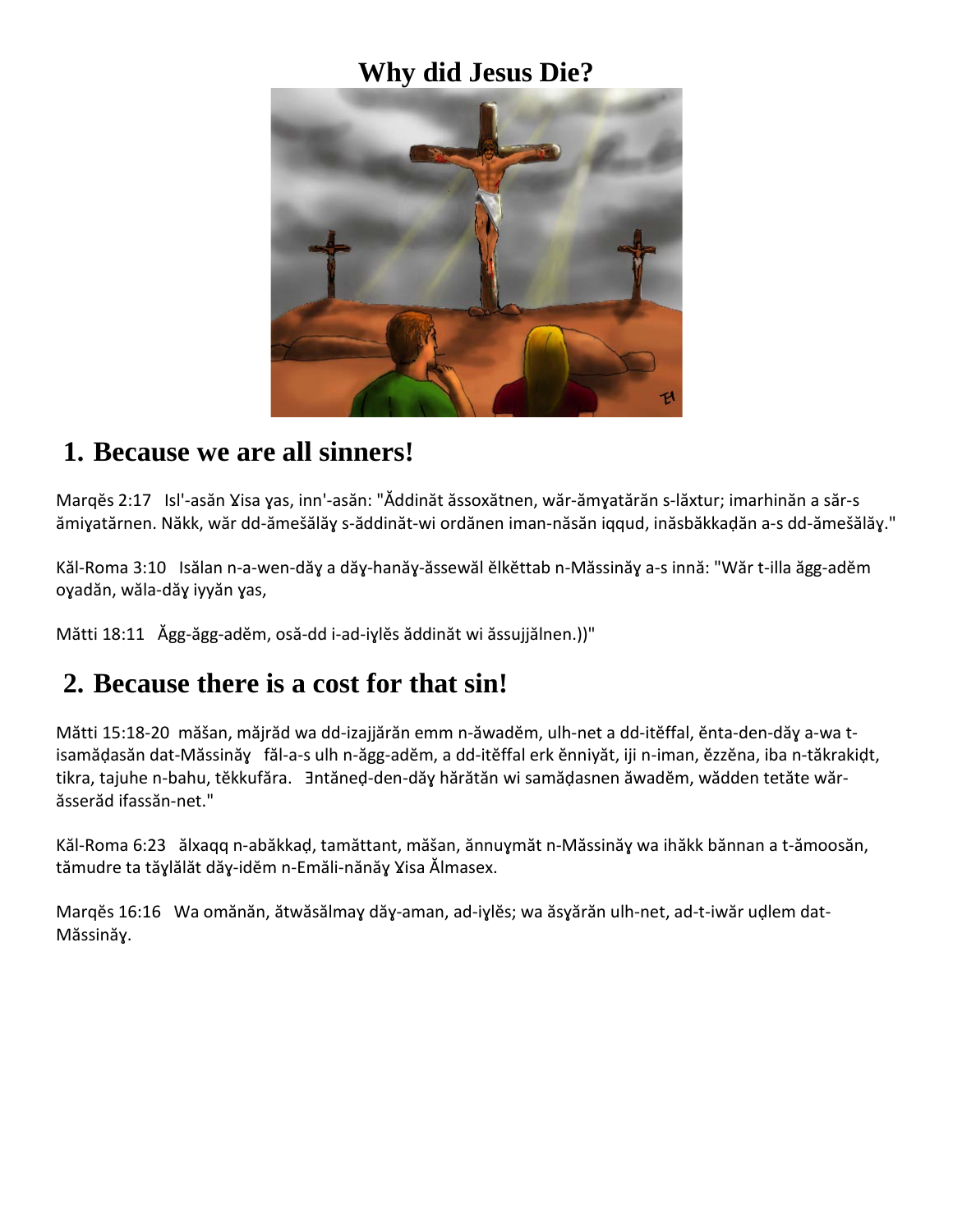## **Why did Jesus Die?**



## **1. Because we are all sinners!**

Marqĕs 2:17 Isl'-asăn Ɣisa ɣas, inn'-asăn: "Ăddinăt ăssoxătnen, wăr-ămɣatărăn s-lăxtur; imarhinăn a săr-s ămiɣatărnen. Năkk, wăr dd-ămešălăɣ s-ăddinăt-wi ordănen iman-năsăn iqqud, inăsbăkkaḍăn a-s dd-ămešălăɣ."

Kăl-Roma 3:10 Isălan n-a-wen-dăɣ a dăɣ-hanăɣ-ăssewăl ĕlkĕttab n-Măssinăɣ a-s innă: "Wăr t-illa ăgg-adĕm oɣadăn, wăla-dăɣ iyyăn ɣas,

Mătti 18:11 Ăgg-ăgg-adĕm, osă-dd i-ad-iɣlĕs ăddinăt wi ăssujjălnen.))"

## **2. Because there is a cost for that sin!**

Mătti 15:18-20 măšan, măjrăd wa dd-izajjărăn emm n-ăwadĕm, ulh-net a dd-itĕffal, ĕnta-den-dăɣ a-wa tisamăḍasăn dat-Măssinăɣ făl-a-s ulh n-ăgg-adĕm, a dd-itĕffal erk ĕnniyăt, iji n-iman, ĕzzĕna, iba n-tăkrakiḍt, tikra, tajuhe n-bahu, tĕkkufăra. Ǝntăneḍ-den-dăɣ hărătăn wi samăḍasnen ăwadĕm, wădden tetăte wărăsserăd ifassăn-net."

Kăl-Roma 6:23 ălxaqq n-abăkkaḍ, tamăttant, măšan, ănnuɣmăt n-Măssinăɣ wa ihăkk bănnan a t-ămoosăn, tămudre ta tăɣlălăt dăɣ-idĕm n-Emăli-nănăɣ Ɣisa Ălmasex.

Marqĕs 16:16 Wa omănăn, ătwăsălmaɣ dăɣ-aman, ad-iɣlĕs; wa ăsɣărăn ulh-net, ad-t-iwăr uḍlem dat-Măssinăɣ.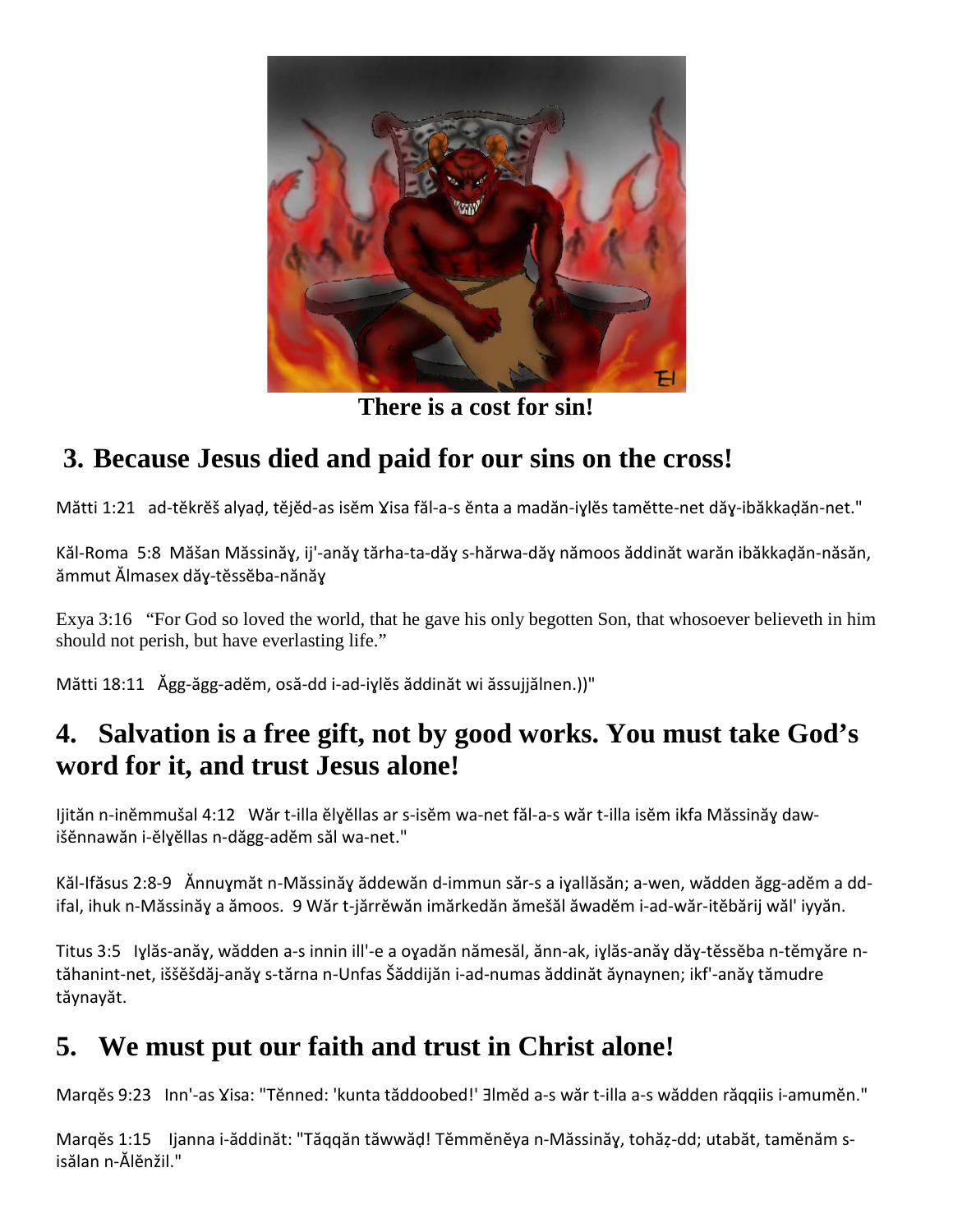

**There is a cost for sin!**

# **3. Because Jesus died and paid for our sins on the cross!**

Mătti 1:21 ad-tĕkrĕš alyaḍ, tĕjĕd-as isĕm Ɣisa făl-a-s ĕnta a madăn-iɣlĕs tamĕtte-net dăɣ-ibăkkaḍăn-net."

Kăl-Roma 5:8 Măšan Măssinăɣ, ij'-anăɣ tărha-ta-dăɣ s-hărwa-dăɣ nămoos ăddinăt warăn ibăkkaḍăn-năsăn, ămmut Ălmasex dăɣ-tĕssĕba-nănăɣ

Exya 3:16 "For God so loved the world, that he gave his only begotten Son, that whosoever believeth in him should not perish, but have everlasting life."

Mătti 18:11 Ăgg-ăgg-adĕm, osă-dd i-ad-iɣlĕs ăddinăt wi ăssujjălnen.))"

## **4. Salvation is a free gift, not by good works. You must take God's word for it, and trust Jesus alone!**

Ijităn n-inĕmmušal 4:12 Wăr t-illa ĕlɣĕllas ar s-isĕm wa-net făl-a-s wăr t-illa isĕm ikfa Măssinăɣ dawišĕnnawăn i-ĕlɣĕllas n-dăgg-adĕm săl wa-net."

Kăl-Ifăsus 2:8-9 Ănnuɣmăt n-Măssinăɣ ăddewăn d-immun săr-s a iɣallăsăn; a-wen, wădden ăgg-adĕm a ddifal, ihuk n-Măssinăɣ a ămoos. 9 Wăr t-jărrĕwăn imărkedăn ămešăl ăwadĕm i-ad-wăr-itĕbărij wăl' iyyăn.

Titus 3:5 Iɣlăs-anăɣ, wădden a-s innin ill'-e a oɣadăn nămesăl, ănn-ak, iɣlăs-anăɣ dăɣ-tĕssĕba n-tĕmɣăre ntăhanint-net, iššĕšdăj-anăɣ s-tărna n-Unfas Šăddijăn i-ad-numas ăddinăt ăynaynen; ikf'-anăɣ tămudre tăynayăt.

# **5. We must put our faith and trust in Christ alone!**

Margěs 9:23 Inn'-as Yisa: "Těnned: 'kunta tăddoobed!' ∃lměd a-s wăr t-illa a-s wădden răqqiis i-amuměn."

Marqĕs 1:15 Ijanna i-ăddinăt: "Tăqqăn tăwwăḍ! Tĕmmĕnĕya n-Măssinăɣ, tohăẓ-dd; utabăt, tamĕnăm sisălan n-Ălĕnžil."